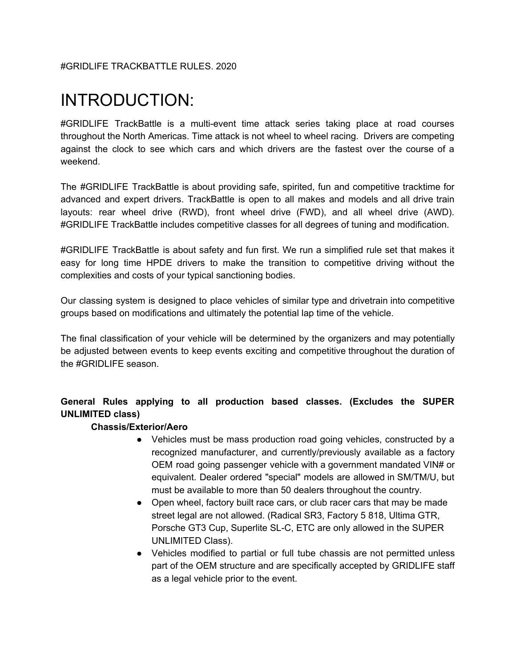#### #GRIDLIFE TRACKBATTLE RULES. 2020

# INTRODUCTION:

#GRIDLIFE TrackBattle is a multi-event time attack series taking place at road courses throughout the North Americas. Time attack is not wheel to wheel racing. Drivers are competing against the clock to see which cars and which drivers are the fastest over the course of a weekend.

The #GRIDLIFE TrackBattle is about providing safe, spirited, fun and competitive tracktime for advanced and expert drivers. TrackBattle is open to all makes and models and all drive train layouts: rear wheel drive (RWD), front wheel drive (FWD), and all wheel drive (AWD). #GRIDLIFE TrackBattle includes competitive classes for all degrees of tuning and modification.

#GRIDLIFE TrackBattle is about safety and fun first. We run a simplified rule set that makes it easy for long time HPDE drivers to make the transition to competitive driving without the complexities and costs of your typical sanctioning bodies.

Our classing system is designed to place vehicles of similar type and drivetrain into competitive groups based on modifications and ultimately the potential lap time of the vehicle.

The final classification of your vehicle will be determined by the organizers and may potentially be adjusted between events to keep events exciting and competitive throughout the duration of the #GRIDLIFE season.

#### **General Rules applying to all production based classes. (Excludes the SUPER UNLIMITED class)**

#### **Chassis/Exterior/Aero**

- Vehicles must be mass production road going vehicles, constructed by a recognized manufacturer, and currently/previously available as a factory OEM road going passenger vehicle with a government mandated VIN# or equivalent. Dealer ordered "special" models are allowed in SM/TM/U, but must be available to more than 50 dealers throughout the country.
- Open wheel, factory built race cars, or club racer cars that may be made street legal are not allowed. (Radical SR3, Factory 5 818, Ultima GTR, Porsche GT3 Cup, Superlite SL-C, ETC are only allowed in the SUPER UNLIMITED Class).
- Vehicles modified to partial or full tube chassis are not permitted unless part of the OEM structure and are specifically accepted by GRIDLIFE staff as a legal vehicle prior to the event.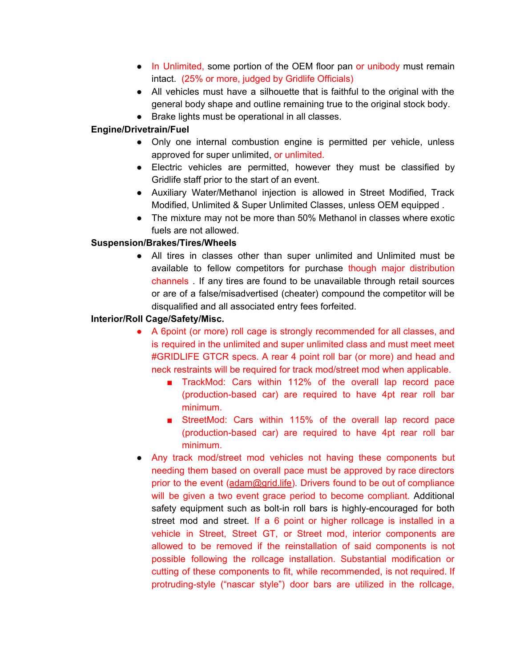- In Unlimited, some portion of the OEM floor pan or unibody must remain intact. (25% or more, judged by Gridlife Officials)
- All vehicles must have a silhouette that is faithful to the original with the general body shape and outline remaining true to the original stock body.
- Brake lights must be operational in all classes.

#### **Engine/Drivetrain/Fuel**

- Only one internal combustion engine is permitted per vehicle, unless approved for super unlimited, or unlimited.
- Electric vehicles are permitted, however they must be classified by Gridlife staff prior to the start of an event.
- Auxiliary Water/Methanol injection is allowed in Street Modified, Track Modified, Unlimited & Super Unlimited Classes, unless OEM equipped .
- The mixture may not be more than 50% Methanol in classes where exotic fuels are not allowed.

#### **Suspension/Brakes/Tires/Wheels**

● All tires in classes other than super unlimited and Unlimited must be available to fellow competitors for purchase though major distribution channels . If any tires are found to be unavailable through retail sources or are of a false/misadvertised (cheater) compound the competitor will be disqualified and all associated entry fees forfeited.

#### **Interior/Roll Cage/Safety/Misc.**

- A 6point (or more) roll cage is strongly recommended for all classes, and is required in the unlimited and super unlimited class and must meet meet #GRIDLIFE GTCR specs. A rear 4 point roll bar (or more) and head and neck restraints will be required for track mod/street mod when applicable.
	- TrackMod: Cars within 112% of the overall lap record pace (production-based car) are required to have 4pt rear roll bar minimum.
	- StreetMod: Cars within 115% of the overall lap record pace (production-based car) are required to have 4pt rear roll bar minimum.
- Any track mod/street mod vehicles not having these components but needing them based on overall pace must be approved by race directors prior to the event [\(adam@grid.life](mailto:adam@grid.life)). Drivers found to be out of compliance will be given a two event grace period to become compliant. Additional safety equipment such as bolt-in roll bars is highly-encouraged for both street mod and street. If a 6 point or higher rollcage is installed in a vehicle in Street, Street GT, or Street mod, interior components are allowed to be removed if the reinstallation of said components is not possible following the rollcage installation. Substantial modification or cutting of these components to fit, while recommended, is not required. If protruding-style ("nascar style") door bars are utilized in the rollcage,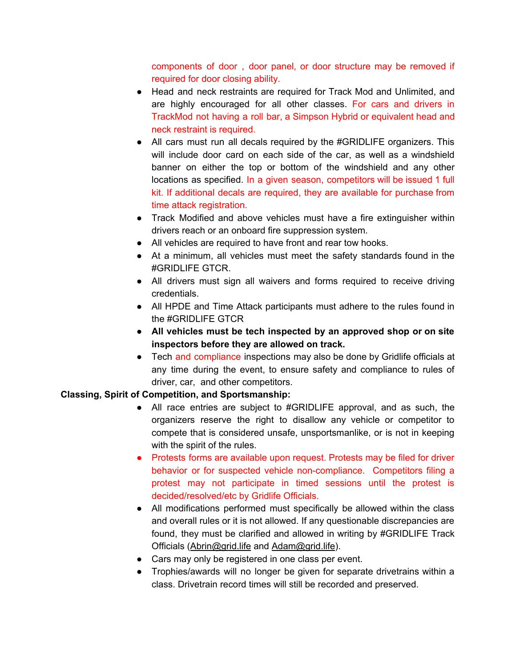components of door , door panel, or door structure may be removed if required for door closing ability.

- Head and neck restraints are required for Track Mod and Unlimited, and are highly encouraged for all other classes. For cars and drivers in TrackMod not having a roll bar, a Simpson Hybrid or equivalent head and neck restraint is required.
- All cars must run all decals required by the #GRIDLIFE organizers. This will include door card on each side of the car, as well as a windshield banner on either the top or bottom of the windshield and any other locations as specified. In a given season, competitors will be issued 1 full kit. If additional decals are required, they are available for purchase from time attack registration.
- Track Modified and above vehicles must have a fire extinguisher within drivers reach or an onboard fire suppression system.
- All vehicles are required to have front and rear tow hooks.
- At a minimum, all vehicles must meet the safety standards found in the #GRIDLIFE GTCR.
- All drivers must sign all waivers and forms required to receive driving credentials.
- All HPDE and Time Attack participants must adhere to the rules found in the #GRIDLIFE GTCR
- **● All vehicles must be tech inspected by an approved shop or on site inspectors before they are allowed on track.**
- Tech and compliance inspections may also be done by Gridlife officials at any time during the event, to ensure safety and compliance to rules of driver, car, and other competitors.

#### **Classing, Spirit of Competition, and Sportsmanship:**

- All race entries are subject to #GRIDLIFE approval, and as such, the organizers reserve the right to disallow any vehicle or competitor to compete that is considered unsafe, unsportsmanlike, or is not in keeping with the spirit of the rules.
- Protests forms are available upon request. Protests may be filed for driver behavior or for suspected vehicle non-compliance. Competitors filing a protest may not participate in timed sessions until the protest is decided/resolved/etc by Gridlife Officials.
- All modifications performed must specifically be allowed within the class and overall rules or it is not allowed. If any questionable discrepancies are found, they must be clarified and allowed in writing by #GRIDLIFE Track Officials ([Abrin@grid.life](mailto:abrin@grid.life) and [Adam@grid.life\)](mailto:adam@grid.life).
- Cars may only be registered in one class per event.
- Trophies/awards will no longer be given for separate drivetrains within a class. Drivetrain record times will still be recorded and preserved.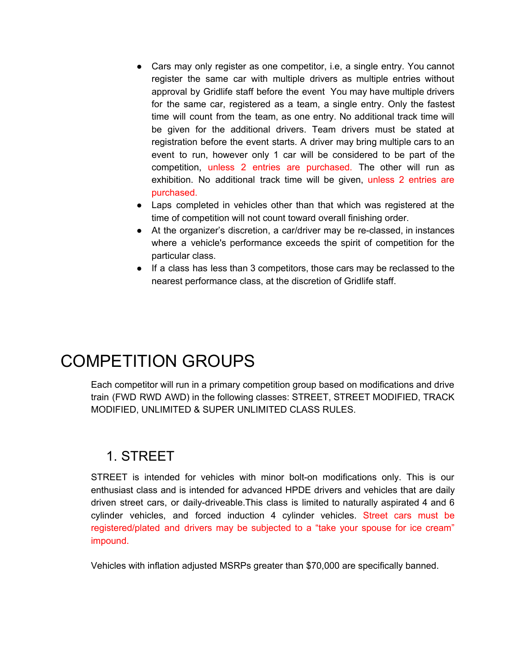- Cars may only register as one competitor, i.e, a single entry. You cannot register the same car with multiple drivers as multiple entries without approval by Gridlife staff before the event You may have multiple drivers for the same car, registered as a team, a single entry. Only the fastest time will count from the team, as one entry. No additional track time will be given for the additional drivers. Team drivers must be stated at registration before the event starts. A driver may bring multiple cars to an event to run, however only 1 car will be considered to be part of the competition, unless 2 entries are purchased. The other will run as exhibition. No additional track time will be given, unless 2 entries are purchased.
- Laps completed in vehicles other than that which was registered at the time of competition will not count toward overall finishing order.
- At the organizer's discretion, a car/driver may be re-classed, in instances where a vehicle's performance exceeds the spirit of competition for the particular class.
- If a class has less than 3 competitors, those cars may be reclassed to the nearest performance class, at the discretion of Gridlife staff.

# COMPETITION GROUPS

Each competitor will run in a primary competition group based on modifications and drive train (FWD RWD AWD) in the following classes: STREET, STREET MODIFIED, TRACK MODIFIED, UNLIMITED & SUPER UNLIMITED CLASS RULES.

# 1. STREET

STREET is intended for vehicles with minor bolt-on modifications only. This is our enthusiast class and is intended for advanced HPDE drivers and vehicles that are daily driven street cars, or daily-driveable.This class is limited to naturally aspirated 4 and 6 cylinder vehicles, and forced induction 4 cylinder vehicles. Street cars must be registered/plated and drivers may be subjected to a "take your spouse for ice cream" impound.

Vehicles with inflation adjusted MSRPs greater than \$70,000 are specifically banned.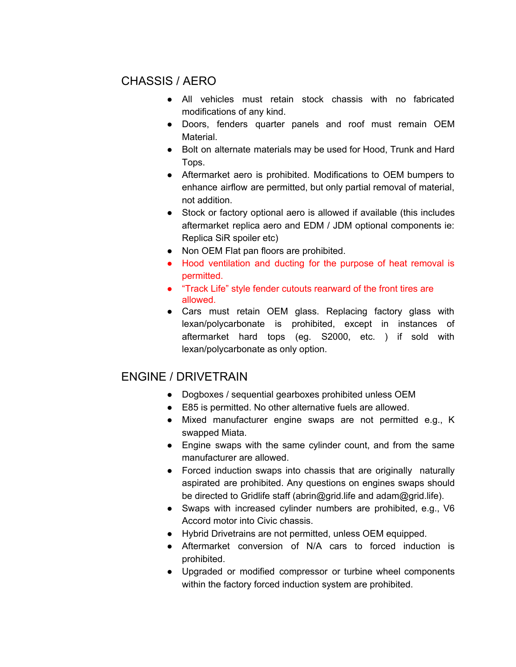#### CHASSIS / AERO

- All vehicles must retain stock chassis with no fabricated modifications of any kind.
- Doors, fenders quarter panels and roof must remain OEM Material.
- Bolt on alternate materials may be used for Hood, Trunk and Hard Tops.
- Aftermarket aero is prohibited. Modifications to OEM bumpers to enhance airflow are permitted, but only partial removal of material, not addition.
- Stock or factory optional aero is allowed if available (this includes aftermarket replica aero and EDM / JDM optional components ie: Replica SiR spoiler etc)
- Non OEM Flat pan floors are prohibited.
- Hood ventilation and ducting for the purpose of heat removal is permitted.
- "Track Life" style fender cutouts rearward of the front tires are allowed.
- Cars must retain OEM glass. Replacing factory glass with lexan/polycarbonate is prohibited, except in instances of aftermarket hard tops (eg. S2000, etc. ) if sold with lexan/polycarbonate as only option.

#### ENGINE / DRIVETRAIN

- Dogboxes / sequential gearboxes prohibited unless OEM
- E85 is permitted. No other alternative fuels are allowed.
- Mixed manufacturer engine swaps are not permitted e.g., K swapped Miata.
- Engine swaps with the same cylinder count, and from the same manufacturer are allowed.
- Forced induction swaps into chassis that are originally naturally aspirated are prohibited. Any questions on engines swaps should be directed to Gridlife staff (abrin@grid.life and adam@grid.life).
- Swaps with increased cylinder numbers are prohibited, e.g., V6 Accord motor into Civic chassis.
- Hybrid Drivetrains are not permitted, unless OEM equipped.
- Aftermarket conversion of N/A cars to forced induction is prohibited.
- Upgraded or modified compressor or turbine wheel components within the factory forced induction system are prohibited.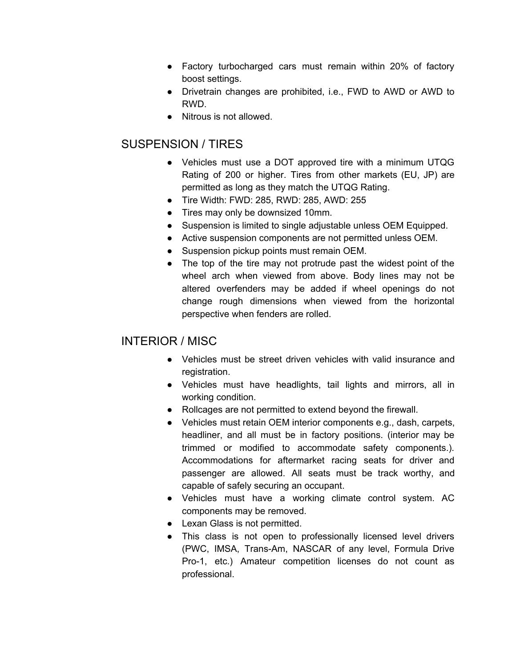- Factory turbocharged cars must remain within 20% of factory boost settings.
- Drivetrain changes are prohibited, i.e., FWD to AWD or AWD to RWD.
- Nitrous is not allowed.

### SUSPENSION / TIRES

- Vehicles must use a DOT approved tire with a minimum UTQG Rating of 200 or higher. Tires from other markets (EU, JP) are permitted as long as they match the UTQG Rating.
- Tire Width: FWD: 285, RWD: 285, AWD: 255
- Tires may only be downsized 10mm.
- Suspension is limited to single adjustable unless OEM Equipped.
- Active suspension components are not permitted unless OEM.
- Suspension pickup points must remain OEM.
- The top of the tire may not protrude past the widest point of the wheel arch when viewed from above. Body lines may not be altered overfenders may be added if wheel openings do not change rough dimensions when viewed from the horizontal perspective when fenders are rolled.

#### INTERIOR / MISC

- Vehicles must be street driven vehicles with valid insurance and registration.
- Vehicles must have headlights, tail lights and mirrors, all in working condition.
- Rollcages are not permitted to extend beyond the firewall.
- Vehicles must retain OEM interior components e.g., dash, carpets, headliner, and all must be in factory positions. (interior may be trimmed or modified to accommodate safety components.). Accommodations for aftermarket racing seats for driver and passenger are allowed. All seats must be track worthy, and capable of safely securing an occupant.
- Vehicles must have a working climate control system. AC components may be removed.
- Lexan Glass is not permitted.
- This class is not open to professionally licensed level drivers (PWC, IMSA, Trans-Am, NASCAR of any level, Formula Drive Pro-1, etc.) Amateur competition licenses do not count as professional.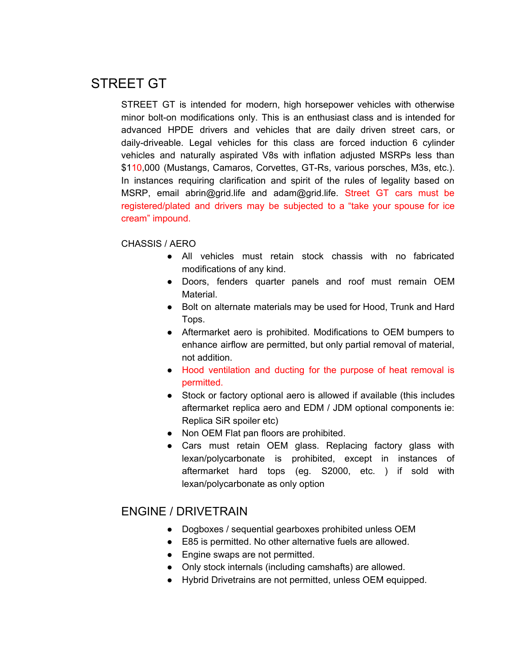# STREET GT

STREET GT is intended for modern, high horsepower vehicles with otherwise minor bolt-on modifications only. This is an enthusiast class and is intended for advanced HPDE drivers and vehicles that are daily driven street cars, or daily-driveable. Legal vehicles for this class are forced induction 6 cylinder vehicles and naturally aspirated V8s with inflation adjusted MSRPs less than \$110,000 (Mustangs, Camaros, Corvettes, GT-Rs, various porsches, M3s, etc.). In instances requiring clarification and spirit of the rules of legality based on MSRP, email abrin@grid.life and adam@grid.life. Street GT cars must be registered/plated and drivers may be subjected to a "take your spouse for ice cream" impound.

#### CHASSIS / AERO

- All vehicles must retain stock chassis with no fabricated modifications of any kind.
- Doors, fenders quarter panels and roof must remain OEM Material.
- Bolt on alternate materials may be used for Hood, Trunk and Hard Tops.
- Aftermarket aero is prohibited. Modifications to OEM bumpers to enhance airflow are permitted, but only partial removal of material, not addition.
- Hood ventilation and ducting for the purpose of heat removal is permitted.
- Stock or factory optional aero is allowed if available (this includes aftermarket replica aero and EDM / JDM optional components ie: Replica SiR spoiler etc)
- Non OEM Flat pan floors are prohibited.
- Cars must retain OEM glass. Replacing factory glass with lexan/polycarbonate is prohibited, except in instances of aftermarket hard tops (eg. S2000, etc. ) if sold with lexan/polycarbonate as only option

#### ENGINE / DRIVETRAIN

- Dogboxes / sequential gearboxes prohibited unless OEM
- E85 is permitted. No other alternative fuels are allowed.
- Engine swaps are not permitted.
- Only stock internals (including camshafts) are allowed.
- Hybrid Drivetrains are not permitted, unless OEM equipped.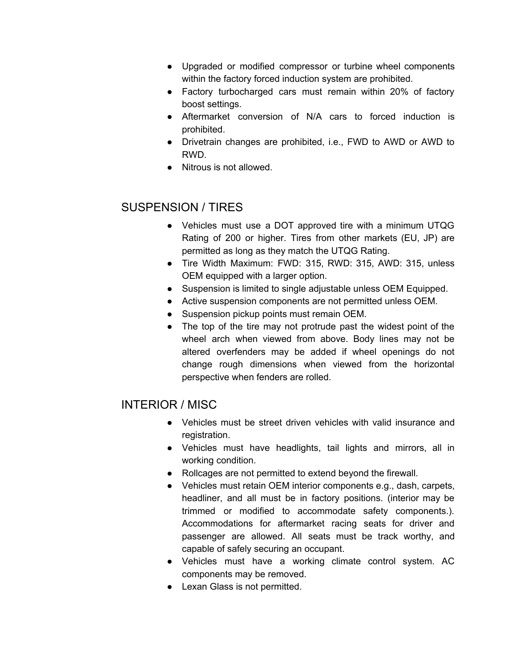- Upgraded or modified compressor or turbine wheel components within the factory forced induction system are prohibited.
- Factory turbocharged cars must remain within 20% of factory boost settings.
- Aftermarket conversion of N/A cars to forced induction is prohibited.
- Drivetrain changes are prohibited, i.e., FWD to AWD or AWD to RWD.
- Nitrous is not allowed.

#### SUSPENSION / TIRES

- Vehicles must use a DOT approved tire with a minimum UTQG Rating of 200 or higher. Tires from other markets (EU, JP) are permitted as long as they match the UTQG Rating.
- Tire Width Maximum: FWD: 315, RWD: 315, AWD: 315, unless OEM equipped with a larger option.
- Suspension is limited to single adjustable unless OEM Equipped.
- Active suspension components are not permitted unless OEM.
- Suspension pickup points must remain OEM.
- The top of the tire may not protrude past the widest point of the wheel arch when viewed from above. Body lines may not be altered overfenders may be added if wheel openings do not change rough dimensions when viewed from the horizontal perspective when fenders are rolled.

#### INTERIOR / MISC

- Vehicles must be street driven vehicles with valid insurance and registration.
- Vehicles must have headlights, tail lights and mirrors, all in working condition.
- Rollcages are not permitted to extend beyond the firewall.
- Vehicles must retain OEM interior components e.g., dash, carpets, headliner, and all must be in factory positions. (interior may be trimmed or modified to accommodate safety components.). Accommodations for aftermarket racing seats for driver and passenger are allowed. All seats must be track worthy, and capable of safely securing an occupant.
- Vehicles must have a working climate control system. AC components may be removed.
- Lexan Glass is not permitted.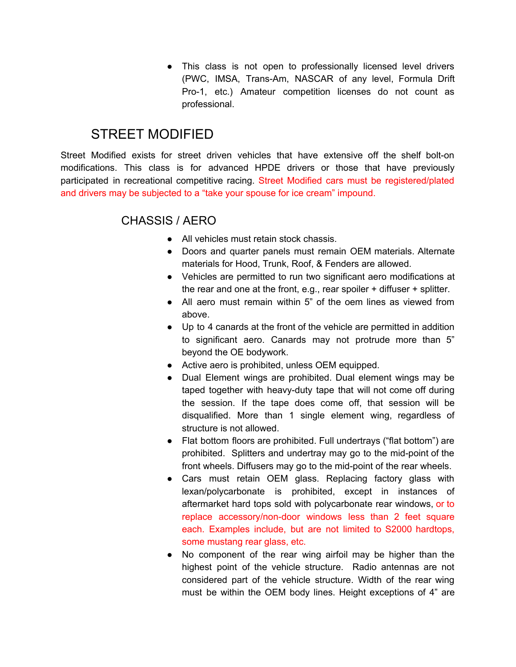● This class is not open to professionally licensed level drivers (PWC, IMSA, Trans-Am, NASCAR of any level, Formula Drift Pro-1, etc.) Amateur competition licenses do not count as professional.

# STREET MODIFIED

Street Modified exists for street driven vehicles that have extensive off the shelf bolt-on modifications. This class is for advanced HPDE drivers or those that have previously participated in recreational competitive racing. Street Modified cars must be registered/plated and drivers may be subjected to a "take your spouse for ice cream" impound.

#### CHASSIS / AERO

- All vehicles must retain stock chassis.
- Doors and quarter panels must remain OEM materials. Alternate materials for Hood, Trunk, Roof, & Fenders are allowed.
- Vehicles are permitted to run two significant aero modifications at the rear and one at the front, e.g., rear spoiler + diffuser + splitter.
- All aero must remain within 5" of the oem lines as viewed from above.
- Up to 4 canards at the front of the vehicle are permitted in addition to significant aero. Canards may not protrude more than 5" beyond the OE bodywork.
- Active aero is prohibited, unless OEM equipped.
- Dual Element wings are prohibited. Dual element wings may be taped together with heavy-duty tape that will not come off during the session. If the tape does come off, that session will be disqualified. More than 1 single element wing, regardless of structure is not allowed.
- Flat bottom floors are prohibited. Full undertrays ("flat bottom") are prohibited. Splitters and undertray may go to the mid-point of the front wheels. Diffusers may go to the mid-point of the rear wheels.
- Cars must retain OEM glass. Replacing factory glass with lexan/polycarbonate is prohibited, except in instances of aftermarket hard tops sold with polycarbonate rear windows, or to replace accessory/non-door windows less than 2 feet square each. Examples include, but are not limited to S2000 hardtops, some mustang rear glass, etc.
- No component of the rear wing airfoil may be higher than the highest point of the vehicle structure. Radio antennas are not considered part of the vehicle structure. Width of the rear wing must be within the OEM body lines. Height exceptions of 4" are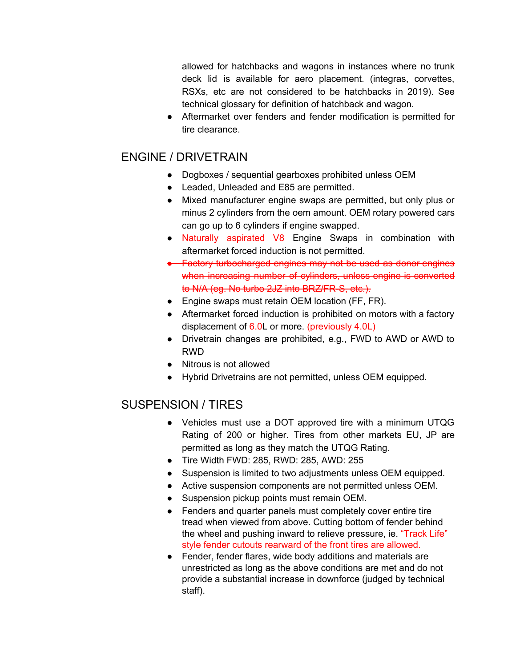allowed for hatchbacks and wagons in instances where no trunk deck lid is available for aero placement. (integras, corvettes, RSXs, etc are not considered to be hatchbacks in 2019). See technical glossary for definition of hatchback and wagon.

● Aftermarket over fenders and fender modification is permitted for tire clearance.

### ENGINE / DRIVETRAIN

- Dogboxes / sequential gearboxes prohibited unless OEM
- Leaded, Unleaded and E85 are permitted.
- Mixed manufacturer engine swaps are permitted, but only plus or minus 2 cylinders from the oem amount. OEM rotary powered cars can go up to 6 cylinders if engine swapped.
- Naturally aspirated V8 Engine Swaps in combination with aftermarket forced induction is not permitted.
- Factory turbocharged engines may not be used as donor engines when increasing number of cylinders, unless engine is converted to N/A (eg. No turbo 2JZ into BRZ/FR-S, etc.).
- Engine swaps must retain OEM location (FF, FR).
- Aftermarket forced induction is prohibited on motors with a factory displacement of 6.0L or more. (previously 4.0L)
- Drivetrain changes are prohibited, e.g., FWD to AWD or AWD to RWD
- Nitrous is not allowed
- Hybrid Drivetrains are not permitted, unless OEM equipped.

### SUSPENSION / TIRES

- Vehicles must use a DOT approved tire with a minimum UTQG Rating of 200 or higher. Tires from other markets EU, JP are permitted as long as they match the UTQG Rating.
- Tire Width FWD: 285, RWD: 285, AWD: 255
- Suspension is limited to two adjustments unless OEM equipped.
- Active suspension components are not permitted unless OEM.
- Suspension pickup points must remain OEM.
- Fenders and quarter panels must completely cover entire tire tread when viewed from above. Cutting bottom of fender behind the wheel and pushing inward to relieve pressure, ie. "Track Life" style fender cutouts rearward of the front tires are allowed.
- Fender, fender flares, wide body additions and materials are unrestricted as long as the above conditions are met and do not provide a substantial increase in downforce (judged by technical staff).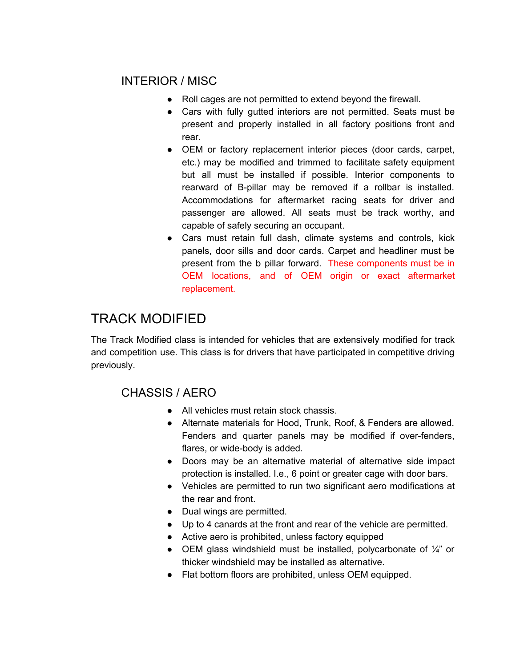#### INTERIOR / MISC

- Roll cages are not permitted to extend beyond the firewall.
- Cars with fully gutted interiors are not permitted. Seats must be present and properly installed in all factory positions front and rear.
- OEM or factory replacement interior pieces (door cards, carpet, etc.) may be modified and trimmed to facilitate safety equipment but all must be installed if possible. Interior components to rearward of B-pillar may be removed if a rollbar is installed. Accommodations for aftermarket racing seats for driver and passenger are allowed. All seats must be track worthy, and capable of safely securing an occupant.
- Cars must retain full dash, climate systems and controls, kick panels, door sills and door cards. Carpet and headliner must be present from the b pillar forward. These components must be in OEM locations, and of OEM origin or exact aftermarket replacement.

# TRACK MODIFIED

The Track Modified class is intended for vehicles that are extensively modified for track and competition use. This class is for drivers that have participated in competitive driving previously.

### CHASSIS / AERO

- All vehicles must retain stock chassis.
- Alternate materials for Hood, Trunk, Roof, & Fenders are allowed. Fenders and quarter panels may be modified if over-fenders, flares, or wide-body is added.
- Doors may be an alternative material of alternative side impact protection is installed. I.e., 6 point or greater cage with door bars.
- Vehicles are permitted to run two significant aero modifications at the rear and front.
- Dual wings are permitted.
- Up to 4 canards at the front and rear of the vehicle are permitted.
- Active aero is prohibited, unless factory equipped
- OEM glass windshield must be installed, polycarbonate of  $\frac{1}{4}$  or thicker windshield may be installed as alternative.
- Flat bottom floors are prohibited, unless OEM equipped.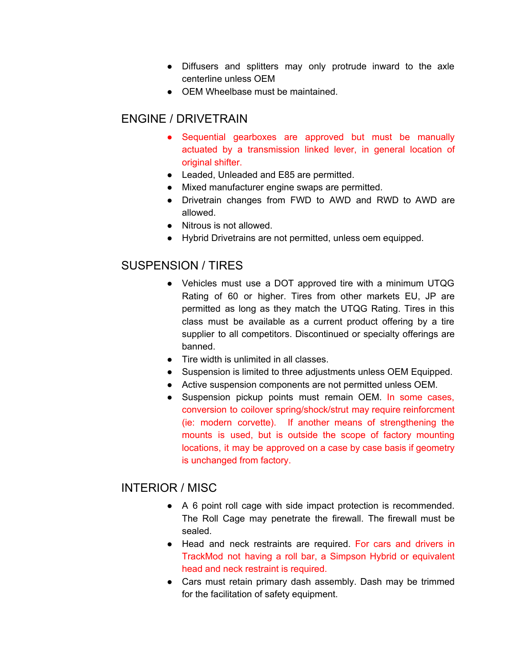- Diffusers and splitters may only protrude inward to the axle centerline unless OEM
- OEM Wheelbase must be maintained.

### ENGINE / DRIVETRAIN

- Sequential gearboxes are approved but must be manually actuated by a transmission linked lever, in general location of original shifter.
- Leaded, Unleaded and E85 are permitted.
- Mixed manufacturer engine swaps are permitted.
- Drivetrain changes from FWD to AWD and RWD to AWD are allowed.
- Nitrous is not allowed.
- Hybrid Drivetrains are not permitted, unless oem equipped.

### SUSPENSION / TIRES

- Vehicles must use a DOT approved tire with a minimum UTQG Rating of 60 or higher. Tires from other markets EU, JP are permitted as long as they match the UTQG Rating. Tires in this class must be available as a current product offering by a tire supplier to all competitors. Discontinued or specialty offerings are banned.
- Tire width is unlimited in all classes.
- Suspension is limited to three adjustments unless OEM Equipped.
- Active suspension components are not permitted unless OEM.
- Suspension pickup points must remain OEM. In some cases, conversion to coilover spring/shock/strut may require reinforcment (ie: modern corvette). If another means of strengthening the mounts is used, but is outside the scope of factory mounting locations, it may be approved on a case by case basis if geometry is unchanged from factory.

#### INTERIOR / MISC

- A 6 point roll cage with side impact protection is recommended. The Roll Cage may penetrate the firewall. The firewall must be sealed.
- Head and neck restraints are required. For cars and drivers in TrackMod not having a roll bar, a Simpson Hybrid or equivalent head and neck restraint is required.
- Cars must retain primary dash assembly. Dash may be trimmed for the facilitation of safety equipment.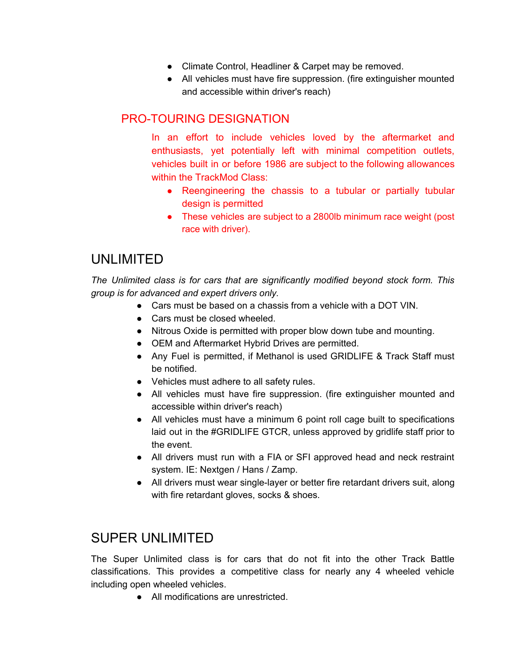- Climate Control, Headliner & Carpet may be removed.
- All vehicles must have fire suppression. (fire extinguisher mounted and accessible within driver's reach)

#### PRO-TOURING DESIGNATION

In an effort to include vehicles loved by the aftermarket and enthusiasts, yet potentially left with minimal competition outlets, vehicles built in or before 1986 are subject to the following allowances within the TrackMod Class:

- Reengineering the chassis to a tubular or partially tubular design is permitted
- These vehicles are subject to a 2800lb minimum race weight (post race with driver).

### UNLIMITED

*The Unlimited class is for cars that are significantly modified beyond stock form. This group is for advanced and expert drivers only.*

- Cars must be based on a chassis from a vehicle with a DOT VIN.
- Cars must be closed wheeled.
- Nitrous Oxide is permitted with proper blow down tube and mounting.
- OEM and Aftermarket Hybrid Drives are permitted.
- Any Fuel is permitted, if Methanol is used GRIDLIFE & Track Staff must be notified.
- Vehicles must adhere to all safety rules.
- All vehicles must have fire suppression. (fire extinguisher mounted and accessible within driver's reach)
- All vehicles must have a minimum 6 point roll cage built to specifications laid out in the #GRIDLIFE GTCR, unless approved by gridlife staff prior to the event.
- All drivers must run with a FIA or SFI approved head and neck restraint system. IE: Nextgen / Hans / Zamp.
- All drivers must wear single-layer or better fire retardant drivers suit, along with fire retardant gloves, socks & shoes.

# SUPER UNLIMITED

The Super Unlimited class is for cars that do not fit into the other Track Battle classifications. This provides a competitive class for nearly any 4 wheeled vehicle including open wheeled vehicles.

● All modifications are unrestricted.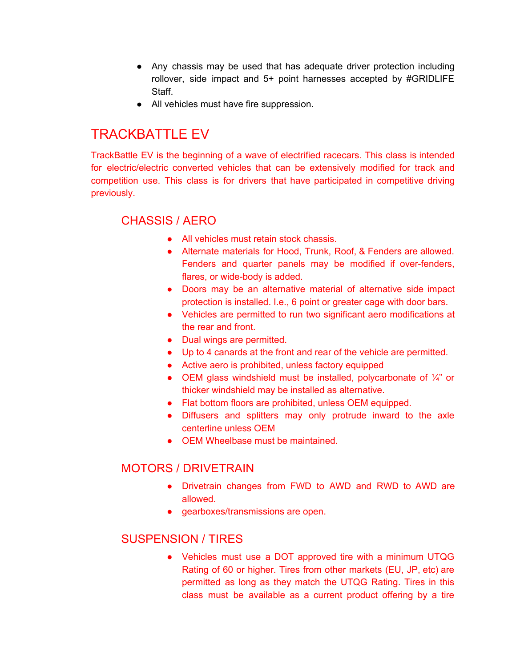- Any chassis may be used that has adequate driver protection including rollover, side impact and 5+ point harnesses accepted by #GRIDLIFE Staff.
- All vehicles must have fire suppression.

# TRACKBATTLE EV

TrackBattle EV is the beginning of a wave of electrified racecars. This class is intended for electric/electric converted vehicles that can be extensively modified for track and competition use. This class is for drivers that have participated in competitive driving previously.

### CHASSIS / AERO

- All vehicles must retain stock chassis.
- Alternate materials for Hood, Trunk, Roof, & Fenders are allowed. Fenders and quarter panels may be modified if over-fenders, flares, or wide-body is added.
- Doors may be an alternative material of alternative side impact protection is installed. I.e., 6 point or greater cage with door bars.
- Vehicles are permitted to run two significant aero modifications at the rear and front.
- Dual wings are permitted.
- Up to 4 canards at the front and rear of the vehicle are permitted.
- Active aero is prohibited, unless factory equipped
- OEM glass windshield must be installed, polycarbonate of  $\frac{1}{4}$  or thicker windshield may be installed as alternative.
- Flat bottom floors are prohibited, unless OEM equipped.
- Diffusers and splitters may only protrude inward to the axle centerline unless OEM
- OEM Wheelbase must be maintained.

### MOTORS / DRIVETRAIN

- Drivetrain changes from FWD to AWD and RWD to AWD are allowed.
- gearboxes/transmissions are open.

#### SUSPENSION / TIRES

● Vehicles must use a DOT approved tire with a minimum UTQG Rating of 60 or higher. Tires from other markets (EU, JP, etc) are permitted as long as they match the UTQG Rating. Tires in this class must be available as a current product offering by a tire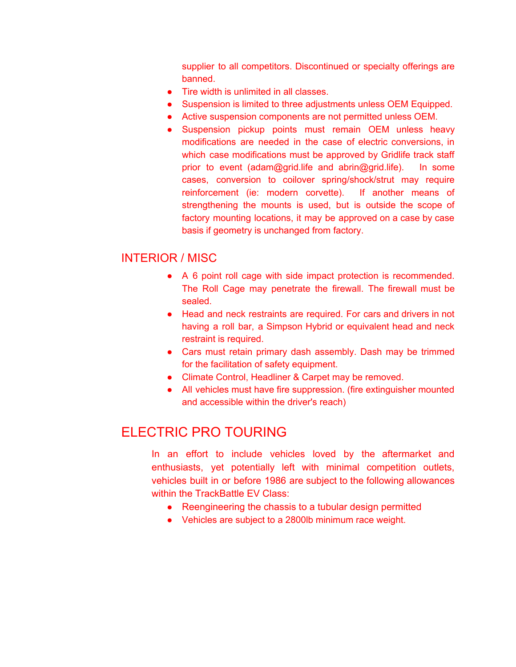supplier to all competitors. Discontinued or specialty offerings are banned.

- Tire width is unlimited in all classes.
- Suspension is limited to three adjustments unless OEM Equipped.
- Active suspension components are not permitted unless OEM.
- Suspension pickup points must remain OEM unless heavy modifications are needed in the case of electric conversions, in which case modifications must be approved by Gridlife track staff prior to event (adam@grid.life and abrin@grid.life). In some cases, conversion to coilover spring/shock/strut may require reinforcement (ie: modern corvette). If another means of strengthening the mounts is used, but is outside the scope of factory mounting locations, it may be approved on a case by case basis if geometry is unchanged from factory.

#### INTERIOR / MISC

- A 6 point roll cage with side impact protection is recommended. The Roll Cage may penetrate the firewall. The firewall must be sealed.
- Head and neck restraints are required. For cars and drivers in not having a roll bar, a Simpson Hybrid or equivalent head and neck restraint is required.
- Cars must retain primary dash assembly. Dash may be trimmed for the facilitation of safety equipment.
- Climate Control, Headliner & Carpet may be removed.
- All vehicles must have fire suppression. (fire extinguisher mounted and accessible within the driver's reach)

### ELECTRIC PRO TOURING

In an effort to include vehicles loved by the aftermarket and enthusiasts, yet potentially left with minimal competition outlets, vehicles built in or before 1986 are subject to the following allowances within the TrackBattle EV Class:

- Reengineering the chassis to a tubular design permitted
- Vehicles are subject to a 2800lb minimum race weight.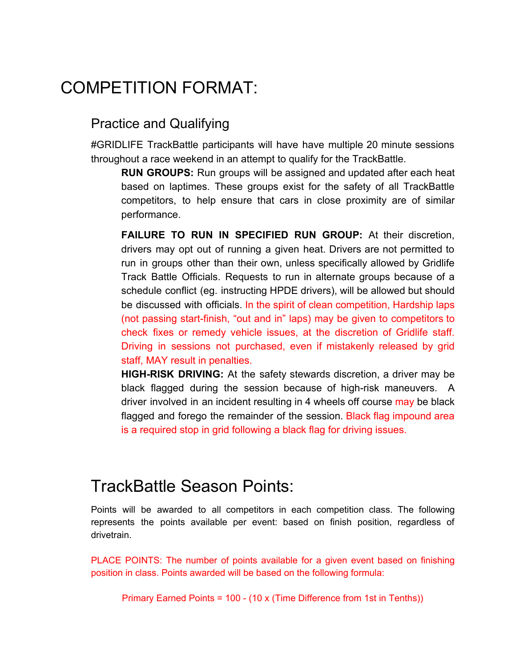# COMPETITION FORMAT:

### Practice and Qualifying

#GRIDLIFE TrackBattle participants will have have multiple 20 minute sessions throughout a race weekend in an attempt to qualify for the TrackBattle.

**RUN GROUPS:** Run groups will be assigned and updated after each heat based on laptimes. These groups exist for the safety of all TrackBattle competitors, to help ensure that cars in close proximity are of similar performance.

**FAILURE TO RUN IN SPECIFIED RUN GROUP:** At their discretion, drivers may opt out of running a given heat. Drivers are not permitted to run in groups other than their own, unless specifically allowed by Gridlife Track Battle Officials. Requests to run in alternate groups because of a schedule conflict (eg. instructing HPDE drivers), will be allowed but should be discussed with officials. In the spirit of clean competition, Hardship laps (not passing start-finish, "out and in" laps) may be given to competitors to check fixes or remedy vehicle issues, at the discretion of Gridlife staff. Driving in sessions not purchased, even if mistakenly released by grid staff, MAY result in penalties.

**HIGH-RISK DRIVING:** At the safety stewards discretion, a driver may be black flagged during the session because of high-risk maneuvers. A driver involved in an incident resulting in 4 wheels off course may be black flagged and forego the remainder of the session. Black flag impound area is a required stop in grid following a black flag for driving issues.

# TrackBattle Season Points:

Points will be awarded to all competitors in each competition class. The following represents the points available per event: based on finish position, regardless of drivetrain.

PLACE POINTS: The number of points available for a given event based on finishing position in class. Points awarded will be based on the following formula:

Primary Earned Points = 100 - (10 x (Time Difference from 1st in Tenths))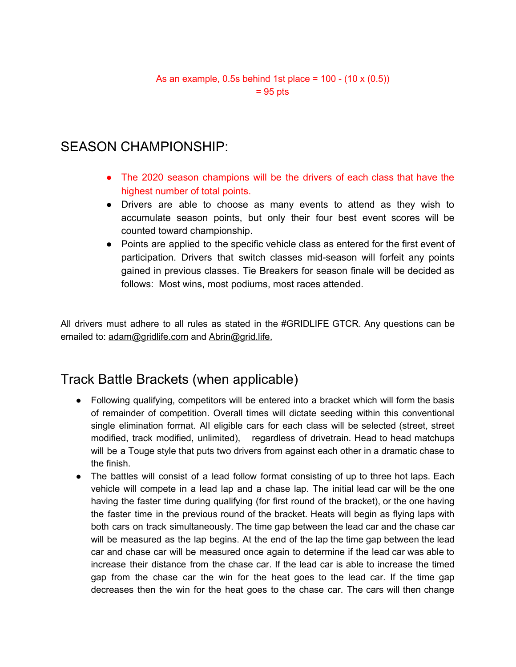As an example, 0.5s behind 1st place =  $100 - (10 \times (0.5))$  $= 95$  pts

# SEASON CHAMPIONSHIP:

- The 2020 season champions will be the drivers of each class that have the highest number of total points.
- Drivers are able to choose as many events to attend as they wish to accumulate season points, but only their four best event scores will be counted toward championship.
- Points are applied to the specific vehicle class as entered for the first event of participation. Drivers that switch classes mid-season will forfeit any points gained in previous classes. Tie Breakers for season finale will be decided as follows: Most wins, most podiums, most races attended.

All drivers must adhere to all rules as stated in the #GRIDLIFE GTCR. Any questions can be emailed to: [adam@gridlife.com](mailto:adam@gridlife.com) and Abrin@grid.life.

# Track Battle Brackets (when applicable)

- Following qualifying, competitors will be entered into a bracket which will form the basis of remainder of competition. Overall times will dictate seeding within this conventional single elimination format. All eligible cars for each class will be selected (street, street modified, track modified, unlimited), regardless of drivetrain. Head to head matchups will be a Touge style that puts two drivers from against each other in a dramatic chase to the finish.
- The battles will consist of a lead follow format consisting of up to three hot laps. Each vehicle will compete in a lead lap and a chase lap. The initial lead car will be the one having the faster time during qualifying (for first round of the bracket), or the one having the faster time in the previous round of the bracket. Heats will begin as flying laps with both cars on track simultaneously. The time gap between the lead car and the chase car will be measured as the lap begins. At the end of the lap the time gap between the lead car and chase car will be measured once again to determine if the lead car was able to increase their distance from the chase car. If the lead car is able to increase the timed gap from the chase car the win for the heat goes to the lead car. If the time gap decreases then the win for the heat goes to the chase car. The cars will then change